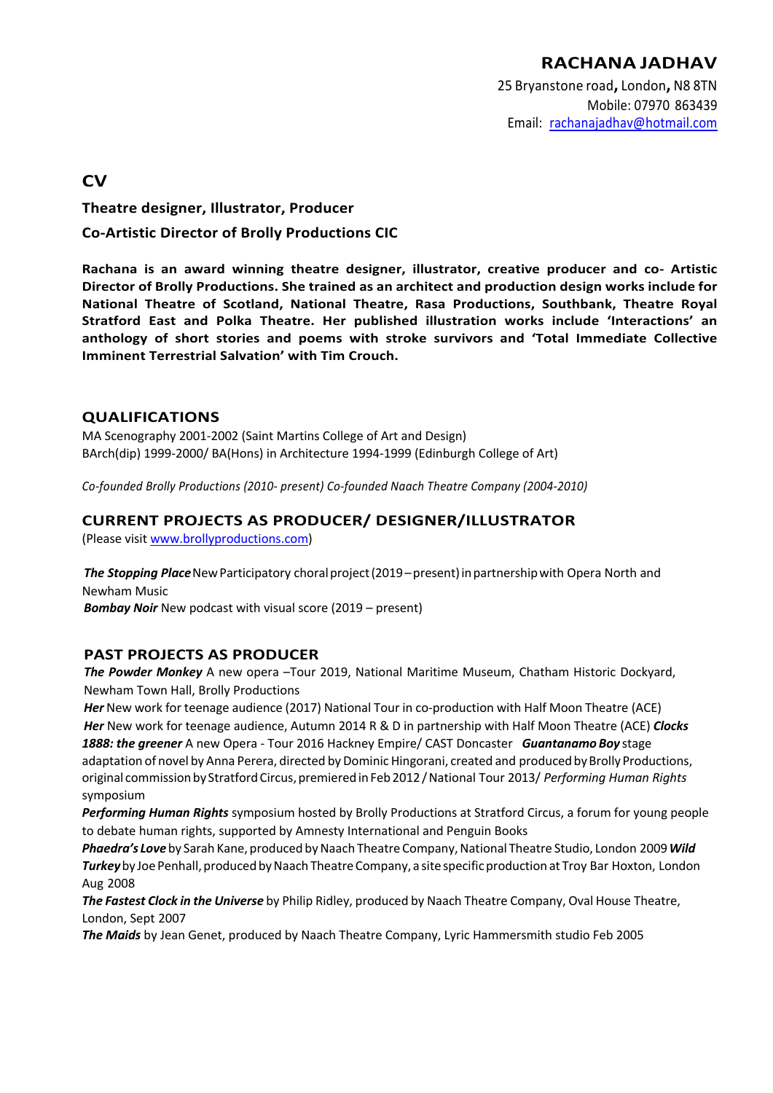25 Bryanstone road**,** London**,** N8 8TN Mobile: 07970 863439 Email: rachanajadhav@hotmail.com

**CV**

**Theatre designer, Illustrator, Producer** 

**Co-Artistic Director of Brolly Productions CIC**

**Rachana is an award winning theatre designer, illustrator, creative producer and co- Artistic Director of Brolly Productions. She trained as an architect and production design works include for National Theatre of Scotland, National Theatre, Rasa Productions, Southbank, Theatre Royal Stratford East and Polka Theatre. Her published illustration works include 'Interactions' an anthology of short stories and poems with stroke survivors and 'Total Immediate Collective Imminent Terrestrial Salvation' with Tim Crouch.**

## **QUALIFICATIONS**

MA Scenography 2001-2002 (Saint Martins College of Art and Design) BArch(dip) 1999-2000/ BA(Hons) in Architecture 1994-1999 (Edinburgh College of Art)

*Co-founded Brolly Productions (2010- present) Co-founded Naach Theatre Company (2004-2010)*

# **CURRENT PROJECTS AS PRODUCER/ DESIGNER/ILLUSTRATOR**

(Please visit www.brollyproductions.com)

The Stopping Place New Participatory choral project (2019–present) in partnership with Opera North and Newham Music

*Bombay Noir* New podcast with visual score (2019 – present)

## **PAST PROJECTS AS PRODUCER**

*The Powder Monkey* A new opera –Tour 2019, National Maritime Museum, Chatham Historic Dockyard, Newham Town Hall, Brolly Productions

*Her* New work for teenage audience (2017) National Tour in co-production with Half Moon Theatre (ACE) *Her* New work for teenage audience, Autumn 2014 R & D in partnership with Half Moon Theatre (ACE) *Clocks 1888: the greener* A new Opera - Tour 2016 Hackney Empire/ CAST Doncaster *Guantanamo Boy* stage adaptation of novel by Anna Perera, directed by Dominic Hingorani, created and produced by Brolly Productions, original commission by Stratford Circus, premiered in Feb 2012 / National Tour 2013/ *Performing Human Rights* symposium

*Performing Human Rights* symposium hosted by Brolly Productions at Stratford Circus, a forum for young people to debate human rights, supported by Amnesty International and Penguin Books

**Phaedra's Love** by Sarah Kane, produced by Naach Theatre Company, National Theatre Studio, London 2009 Wild Turkey by Joe Penhall, produced by Naach Theatre Company, a site specific production at Troy Bar Hoxton, London Aug 2008

*The Fastest Clock in the Universe* by Philip Ridley, produced by Naach Theatre Company, Oval House Theatre, London, Sept 2007

*The Maids* by Jean Genet, produced by Naach Theatre Company, Lyric Hammersmith studio Feb 2005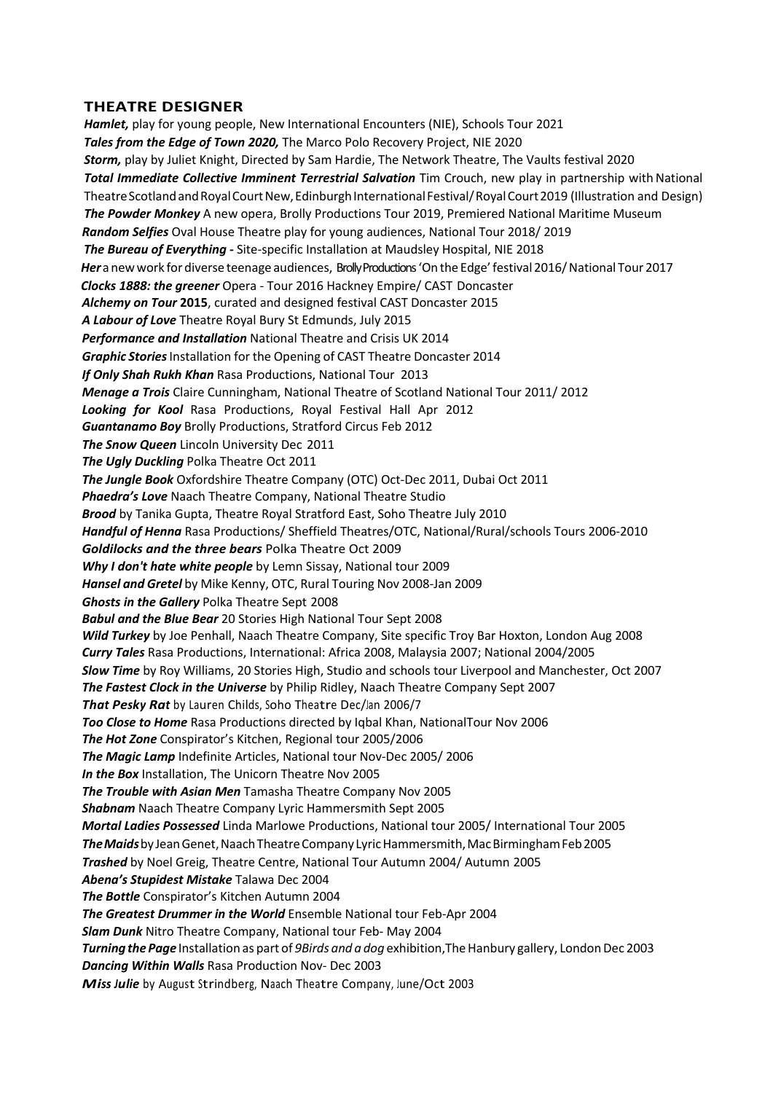### **THEATRE DESIGNER**

*Hamlet,* play for young people, New International Encounters (NIE), Schools Tour 2021 *Tales from the Edge of Town 2020,* The Marco Polo Recovery Project, NIE 2020 *Storm,* play by Juliet Knight, Directed by Sam Hardie, The Network Theatre, The Vaults festival 2020 **Total Immediate Collective Imminent Terrestrial Salvation** Tim Crouch, new play in partnership with National Theatre Scotland and Royal Court New, Edinburgh International Festival/Royal Court 2019 (Illustration and Design) *The Powder Monkey* A new opera, Brolly Productions Tour 2019, Premiered National Maritime Museum *Random Selfies* Oval House Theatre play for young audiences, National Tour 2018/ 2019 *The Bureau of Everything -* Site-specific Installation at Maudsley Hospital, NIE 2018  *Her*a newwork for diverse teenage audiences, Brolly Productions'On the Edge'festival 2016/National Tour 2017  *Clocks 1888: the greener* Opera - Tour 2016 Hackney Empire/ CAST Doncaster *Alchemy on Tour* **2015**, curated and designed festival CAST Doncaster 2015 *A Labour of Love* Theatre Royal Bury St Edmunds, July 2015 *Performance and Installation* National Theatre and Crisis UK 2014 *Graphic Stories* Installation for the Opening of CAST Theatre Doncaster 2014 *If Only Shah Rukh Khan* Rasa Productions, National Tour 2013 *Menage a Trois* Claire Cunningham, National Theatre of Scotland National Tour 2011/ 2012 *Looking for Kool* Rasa Productions, Royal Festival Hall Apr 2012 *Guantanamo Boy* Brolly Productions, Stratford Circus Feb 2012 **The Snow Queen** Lincoln University Dec 2011 *The Ugly Duckling* Polka Theatre Oct 2011 *The Jungle Book* Oxfordshire Theatre Company (OTC) Oct-Dec 2011, Dubai Oct 2011 *Phaedra's Love* Naach Theatre Company, National Theatre Studio *Brood* by Tanika Gupta, Theatre Royal Stratford East, Soho Theatre July 2010 *Handful of Henna* Rasa Productions/ Sheffield Theatres/OTC, National/Rural/schools Tours 2006-2010 *Goldilocks and the three bears* Polka Theatre Oct 2009 *Why I don't hate white people* by Lemn Sissay, National tour 2009 *Hansel and Gretel* by Mike Kenny, OTC, Rural Touring Nov 2008-Jan 2009 *Ghosts in the Gallery* Polka Theatre Sept 2008 *Babul and the Blue Bear* 20 Stories High National Tour Sept 2008 *Wild Turkey* by Joe Penhall, Naach Theatre Company, Site specific Troy Bar Hoxton, London Aug 2008 *Curry Tales* Rasa Productions, International: Africa 2008, Malaysia 2007; National 2004/2005 *Slow Time* by Roy Williams, 20 Stories High, Studio and schools tour Liverpool and Manchester, Oct 2007 *The Fastest Clock in the Universe* by Philip Ridley, Naach Theatre Company Sept 2007 *That Pesky Rat* by Lauren Childs, Soho Theatre Dec/Jan 2006/7 *Too Close to Home* Rasa Productions directed by Iqbal Khan, NationalTour Nov 2006 *The Hot Zone* Conspirator's Kitchen, Regional tour 2005/2006 *The Magic Lamp* Indefinite Articles, National tour Nov-Dec 2005/ 2006 *In the Box* Installation, The Unicorn Theatre Nov 2005 *The Trouble with Asian Men* Tamasha Theatre Company Nov 2005 *Shabnam* Naach Theatre Company Lyric Hammersmith Sept 2005 *Mortal Ladies Possessed* Linda Marlowe Productions, National tour 2005/ International Tour 2005 *TheMaids*byJeanGenet,NaachTheatreCompany LyricHammersmith,MacBirminghamFeb2005 *Trashed* by Noel Greig, Theatre Centre, National Tour Autumn 2004/ Autumn 2005 *Abena's Stupidest Mistake* Talawa Dec 2004 *The Bottle* Conspirator's Kitchen Autumn 2004 *The Greatest Drummer in the World* Ensemble National tour Feb-Apr 2004 *Slam Dunk* Nitro Theatre Company, National tour Feb- May 2004 *Turning the Page* Installation as part of *9Birds and a dog* exhibition, The Hanbury gallery, London Dec 2003 *Dancing Within Walls* Rasa Production Nov- Dec 2003

*Miss Julie* by August Strindberg, Naach Theatre Company, June/Oct 2003